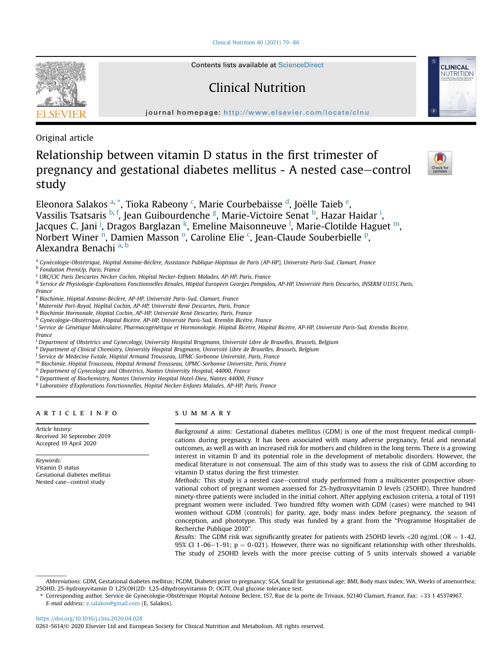Clinical Nutrition  $40$  (2021) 79-[86](https://doi.org/10.1016/j.clnu.2020.04.028)



Contents lists available at ScienceDirect

## Clinical Nutrition

journal homepage: <http://www.elsevier.com/locate/clnu>

Original article

# Relationship between vitamin D status in the first trimester of pregnancy and gestational diabetes mellitus - A nested case–control study



**CLINICAL** NUTRITION

Eleonora Salakos <sup>[a,](#page-0-0) [\\*](#page-0-1)</sup>, Tioka Rabeony <sup>[c](#page-0-2)</sup>, Marie Courbebaisse <sup>[d](#page-0-3)</sup>, Joëll[e](#page-0-4) Taieb <sup>e</sup>, Vassilis Tsatsaris <sup>[b,](#page-0-5) [f](#page-0-6)</sup>, Jean Guibourdenche <sup>[g](#page-0-7)</sup>, Marie-Victoire Senat <sup>[h](#page-0-8)</sup>, Hazar Ha[i](#page-0-9)dar <sup>i</sup>, Jacques C. Jani <sup>[j](#page-0-10)</sup>, Dragos Barglazan <sup>[k](#page-0-11)</sup>, Eme[l](#page-0-12)ine Maisonneuve <sup>l</sup>, Marie-Clotilde Haguet <sup>[m](#page-0-13)</sup>, Norbert Wi[n](#page-0-14)er <sup>n</sup>, Damien Mass[o](#page-0-15)n <sup>o</sup>, Caroline Elie <sup>[c](#page-0-2)</su[p](#page-0-16)>, Jean-Claude Souberbielle <sup>p</sup>, Alex[a](#page-0-0)ndra Benachi<sup>a, [b](#page-0-5)</sup>

<span id="page-0-0"></span><sup>a</sup> Gynécologie-Obstétrique, Hôpital Antoine-Béclère, Assistance Publique-Hôpitaux de Paris (AP-HP), Université Paris-Sud, Clamart, France

<span id="page-0-5"></span><sup>b</sup> Fondation PremUp, Paris, France

<span id="page-0-2"></span><sup>c</sup> URC/CIC Paris Descartes Necker Cochin, Hopital Necker-Enfants Malades, AP-HP, Paris, France ^

<span id="page-0-3"></span><sup>d</sup> Service de Physiologie-Explorations Fonctionnelles Rénales, Hôpital Européen Georges Pompidou, AP-HP, Université Paris Descartes, INSERM U1151, Paris, France

<span id="page-0-4"></span><sup>e</sup> Biochimie, Hôpital Antoine-Béclère, AP-HP, Université Paris-Sud, Clamart, France

<span id="page-0-6"></span><sup>f</sup> Maternité Port-Royal, Hôpîtal Cochin, AP-HP, Université René Descartes, Paris, France

<span id="page-0-7"></span><sup>g</sup> Biochimie Hormonale, Hôpital Cochin, AP-HP, Université René Descartes, Paris, France

<span id="page-0-8"></span><sup>h</sup> Gynécologie-Obstétrique, Hôpital Bicêtre, AP-HP, Université Paris-Sud, Kremlin Bicêtre, France

<span id="page-0-9"></span><sup>i</sup> Service de Génétique Moléculaire, Pharmacogénétique et Hormonologie, Hôpital Bicêtre, Hôpital Bicêtre, AP-HP, Université Paris-Sud, Kremlin Bicêtre, France

<span id="page-0-10"></span><sup>j</sup> Department of Obstetrics and Gynecology, University Hospital Brugmann, Université Libre de Bruxelles, Brussels, Belgium

<span id="page-0-11"></span><sup>k</sup> Department of Clinical Chemistry, University Hospital Brugmann, Université Libre de Bruxelles, Brussels, Belgium

<span id="page-0-12"></span><sup>l</sup> Service de Médecine Fætale, Hôpital Armand Trousseau, UPMC-Sorbonne Université, Paris, France

<span id="page-0-13"></span> $^{\rm m}$  Biochimie, Hôpital Trousseau, Hôpital Armand Trousseau, UPMC-Sorbonne Université, Paris, France

<span id="page-0-14"></span><sup>n</sup> Department of Gynecology and Obstetrics, Nantes University Hospital, 44000, France

<span id="page-0-15"></span><sup>o</sup> Department of Biochemistry, Nantes University Hospital Hotel-Dieu, Nantes 44000, France

<span id="page-0-16"></span><sup>p</sup> Laboratoire d'Explorations Fonctionnelles, Hopital Necker-Enfants Malades, AP-HP, Paris, France ^

## article info

Article history: Received 30 September 2019 Accepted 19 April 2020

Keywords: Vitamin D status Gestational diabetes mellitus Nested case-control study

## SUMMARY

Background  $&$  aims: Gestational diabetes mellitus (GDM) is one of the most frequent medical complications during pregnancy. It has been associated with many adverse pregnancy, fetal and neonatal outcomes, as well as with an increased risk for mothers and children in the long term. There is a growing interest in vitamin D and its potential role in the development of metabolic disorders. However, the medical literature is not consensual. The aim of this study was to assess the risk of GDM according to vitamin D status during the first trimester.

Methods: This study is a nested case-control study performed from a multicenter prospective observational cohort of pregnant women assessed for 25-hydroxyvitamin D levels (25OHD). Three hundred ninety-three patients were included in the initial cohort. After applying exclusion criteria, a total of 1191 pregnant women were included. Two hundred fifty women with GDM (cases) were matched to 941 women without GDM (controls) for parity, age, body mass index before pregnancy, the season of conception, and phototype. This study was funded by a grant from the "Programme Hospitalier de Recherche Publique 2010".

Results: The GDM risk was significantly greater for patients with 25OHD levels <20 ng/mL (OR =  $1·42$ , 95% CI 1⋅06−1⋅91; p = 0⋅021). However, there was no significant relationship with other thresholds. The study of 25OHD levels with the more precise cutting of 5 units intervals showed a variable

<https://doi.org/10.1016/j.clnu.2020.04.028>

Abbreviations: GDM, Gestational diabetes mellitus; PGDM, Diabetes prior to pregnancy; SGA, Small for gestational age; BMI, Body mass index; WA, Weeks of amenorrhea; 25OHD, 25-hydroxyvitamin D 1,25(OH)2D: 1,25-dihydroxyvitamin D; OGTT, Oral glucose tolerance test.

<span id="page-0-1"></span><sup>\*</sup> Corresponding author. Service de Gynécologie-Obstétrique Hôpital Antoine Béclère, 157, Rue de la porte de Trivaux, 92140 Clamart, France. Fax: +33 1 45374967. E-mail address: [e.salakos@gmail.com](mailto:e.salakos@gmail.com) (E. Salakos).

<sup>0261-5614/</sup>© 2020 Elsevier Ltd and European Society for Clinical Nutrition and Metabolism. All rights reserved.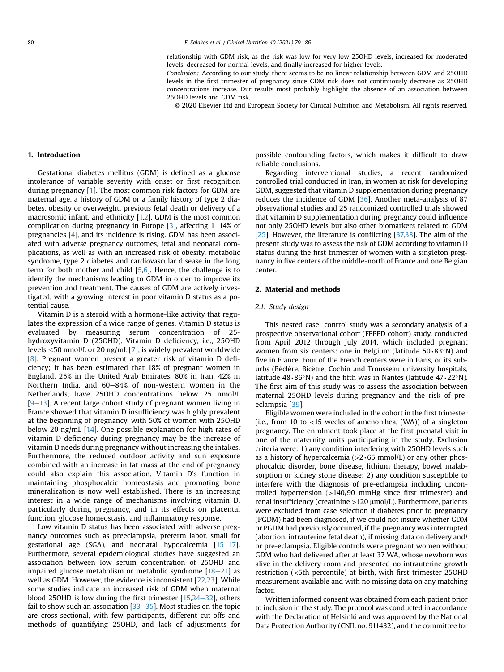relationship with GDM risk, as the risk was low for very low 25OHD levels, increased for moderated levels, decreased for normal levels, and finally increased for higher levels.

Conclusion: According to our study, there seems to be no linear relationship between GDM and 25OHD levels in the first trimester of pregnancy since GDM risk does not continuously decrease as 25OHD concentrations increase. Our results most probably highlight the absence of an association between 25OHD levels and GDM risk.

© 2020 Elsevier Ltd and European Society for Clinical Nutrition and Metabolism. All rights reserved.

#### 1. Introduction

Gestational diabetes mellitus (GDM) is defined as a glucose intolerance of variable severity with onset or first recognition during pregnancy [[1](#page-7-0)]. The most common risk factors for GDM are maternal age, a history of GDM or a family history of type 2 diabetes, obesity or overweight, previous fetal death or delivery of a macrosomic infant, and ethnicity [[1](#page-7-0)[,2](#page-7-1)]. GDM is the most common complication during pregnancy in Europe  $[3]$ , affecting  $1-14\%$  of pregnancies [\[4\]](#page-7-3), and its incidence is rising. GDM has been associated with adverse pregnancy outcomes, fetal and neonatal complications, as well as with an increased risk of obesity, metabolic syndrome, type 2 diabetes and cardiovascular disease in the long term for both mother and child [\[5,](#page-7-4)[6](#page-7-5)]. Hence, the challenge is to identify the mechanisms leading to GDM in order to improve its prevention and treatment. The causes of GDM are actively investigated, with a growing interest in poor vitamin D status as a potential cause.

Vitamin D is a steroid with a hormone-like activity that regulates the expression of a wide range of genes. Vitamin D status is evaluated by measuring serum concentration of 25 hydroxyvitamin D (25OHD). Vitamin D deficiency, i.e., 25OHD levels -50 nmol/L or 20 ng/mL [\[7](#page-7-6)], is widely prevalent worldwide [[8\]](#page-7-7). Pregnant women present a greater risk of vitamin D deficiency; it has been estimated that 18% of pregnant women in England, 25% in the United Arab Emirates, 80% in Iran, 42% in Northern India, and  $60-84%$  of non-western women in the Netherlands, have 25OHD concentrations below 25 nmol/L  $[9-13]$  $[9-13]$  $[9-13]$  $[9-13]$ . A recent large cohort study of pregnant women living in France showed that vitamin D insufficiency was highly prevalent at the beginning of pregnancy, with 50% of women with 25OHD below 20 ng/mL [\[14](#page-7-9)]. One possible explanation for high rates of vitamin D deficiency during pregnancy may be the increase of vitamin D needs during pregnancy without increasing the intakes. Furthermore, the reduced outdoor activity and sun exposure combined with an increase in fat mass at the end of pregnancy could also explain this association. Vitamin D's function in maintaining phosphocalcic homeostasis and promoting bone mineralization is now well established. There is an increasing interest in a wide range of mechanisms involving vitamin D, particularly during pregnancy, and in its effects on placental function, glucose homeostasis, and inflammatory response.

Low vitamin D status has been associated with adverse pregnancy outcomes such as preeclampsia, preterm labor, small for gestational age (SGA), and neonatal hypocalcemia  $[15-17]$  $[15-17]$  $[15-17]$  $[15-17]$  $[15-17]$ . Furthermore, several epidemiological studies have suggested an association between low serum concentration of 25OHD and impaired glucose metabolism or metabolic syndrome  $[18-21]$  $[18-21]$  $[18-21]$  $[18-21]$  as well as GDM. However, the evidence is inconsistent [\[22](#page-7-12)[,23\]](#page-7-13). While some studies indicate an increased risk of GDM when maternal blood 25OHD is low during the first trimester  $[15,24-32]$  $[15,24-32]$  $[15,24-32]$  $[15,24-32]$  $[15,24-32]$ , others fail to show such an association  $[33-35]$  $[33-35]$  $[33-35]$  $[33-35]$ . Most studies on the topic are cross-sectional, with few participants, different cut-offs and methods of quantifying 25OHD, and lack of adjustments for possible confounding factors, which makes it difficult to draw reliable conclusions.

Regarding interventional studies, a recent randomized controlled trial conducted in Iran, in women at risk for developing GDM, suggested that vitamin D supplementation during pregnancy reduces the incidence of GDM [[36](#page-7-16)]. Another meta-analysis of 87 observational studies and 25 randomized controlled trials showed that vitamin D supplementation during pregnancy could influence not only 25OHD levels but also other biomarkers related to GDM [[25](#page-7-17)]. However, the literature is conflicting [\[37,](#page-7-18)[38](#page-7-19)]. The aim of the present study was to assess the risk of GDM according to vitamin D status during the first trimester of women with a singleton pregnancy in five centers of the middle-north of France and one Belgian center.

## 2. Material and methods

#### 2.1. Study design

This nested case-control study was a secondary analysis of a prospective observational cohort (FEPED cohort) study, conducted from April 2012 through July 2014, which included pregnant women from six centers: one in Belgium (latitude 50∙83°N) and five in France. Four of the French centers were in Paris, or its suburbs (Béclère, Bicêtre, Cochin and Trousseau university hospitals, latitude 48∙86°N) and the fifth was in Nantes (latitude 47∙22°N). The first aim of this study was to assess the association between maternal 25OHD levels during pregnancy and the risk of preeclampsia [[39](#page-7-20)].

Eligible women were included in the cohort in the first trimester (i.e., from 10 to  $<$ 15 weeks of amenorrhea, (WA)) of a singleton pregnancy. The enrolment took place at the first prenatal visit in one of the maternity units participating in the study. Exclusion criteria were: 1) any condition interfering with 25OHD levels such as a history of hypercalcemia (>2∙65 mmol/L) or any other phosphocalcic disorder, bone disease, lithium therapy, bowel malabsorption or kidney stone disease; 2) any condition susceptible to interfere with the diagnosis of pre-eclampsia including uncontrolled hypertension (>140/90 mmHg since first trimester) and renal insufficiency (creatinine  $>120 \mu$ mol/L). Furthermore, patients were excluded from case selection if diabetes prior to pregnancy (PGDM) had been diagnosed, if we could not insure whether GDM or PGDM had previously occurred, if the pregnancy was interrupted (abortion, intrauterine fetal death), if missing data on delivery and/ or pre-eclampsia. Eligible controls were pregnant women without GDM who had delivered after at least 37 WA, whose newborn was alive in the delivery room and presented no intrauterine growth restriction (<5th percentile) at birth, with first trimester 25OHD measurement available and with no missing data on any matching factor.

Written informed consent was obtained from each patient prior to inclusion in the study. The protocol was conducted in accordance with the Declaration of Helsinki and was approved by the National Data Protection Authority (CNIL no. 911432), and the committee for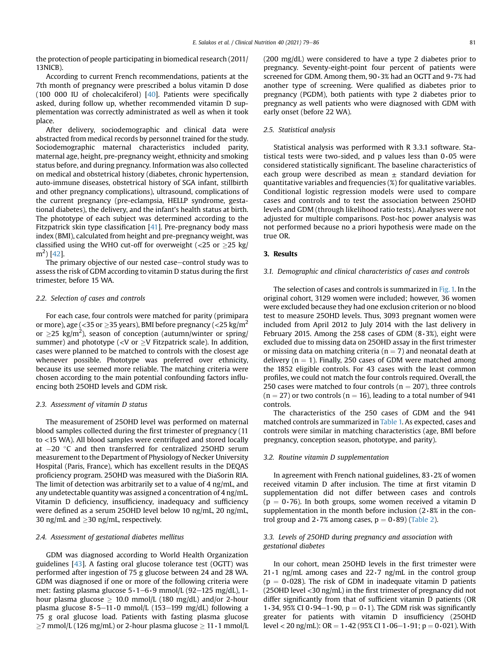the protection of people participating in biomedical research (2011/ 13NICB).

According to current French recommendations, patients at the 7th month of pregnancy were prescribed a bolus vitamin D dose (100 000 IU of cholecalciferol) [\[40\]](#page-7-21). Patients were specifically asked, during follow up, whether recommended vitamin D supplementation was correctly administrated as well as when it took place.

After delivery, sociodemographic and clinical data were abstracted from medical records by personnel trained for the study. Sociodemographic maternal characteristics included parity, maternal age, height, pre-pregnancy weight, ethnicity and smoking status before, and during pregnancy. Information was also collected on medical and obstetrical history (diabetes, chronic hypertension, auto-immune diseases, obstetrical history of SGA infant, stillbirth and other pregnancy complications), ultrasound, complications of the current pregnancy (pre-eclampsia, HELLP syndrome, gestational diabetes), the delivery, and the infant's health status at birth. The phototype of each subject was determined according to the Fitzpatrick skin type classification [[41\]](#page-7-22). Pre-pregnancy body mass index (BMI), calculated from height and pre-pregnancy weight, was classified using the WHO cut-off for overweight ( $\langle$ 25 or  $\rangle$ 25 kg/ m<sup>2</sup> ) [\[42\]](#page-7-23).

The primary objective of our nested case-control study was to assess the risk of GDM according to vitamin D status during the first trimester, before 15 WA.

### 2.2. Selection of cases and controls

For each case, four controls were matched for parity (primipara or more), age ( $<$ 35 or >35 years), BMI before pregnancy ( $<$ 25 kg/m<sup>2</sup> or  $\geq$ 25 kg/m<sup>2</sup>), season of conception (autumn/winter or spring/ summer) and phototype (<V or  $\geq$ V Fitzpatrick scale). In addition, cases were planned to be matched to controls with the closest age whenever possible. Phototype was preferred over ethnicity, because its use seemed more reliable. The matching criteria were chosen according to the main potential confounding factors influencing both 25OHD levels and GDM risk.

#### 2.3. Assessment of vitamin D status

The measurement of 25OHD level was performed on maternal blood samples collected during the first trimester of pregnancy (11 to <15 WA). All blood samples were centrifuged and stored locally at  $-20$  °C and then transferred for centralized 250HD serum measurement to the Department of Physiology of Necker University Hospital (Paris, France), which has excellent results in the DEQAS proficiency program. 25OHD was measured with the DiaSorin RIA. The limit of detection was arbitrarily set to a value of 4 ng/mL, and any undetectable quantity was assigned a concentration of 4 ng/mL. Vitamin D deficiency, insufficiency, inadequacy and sufficiency were defined as a serum 25OHD level below 10 ng/mL, 20 ng/mL, 30 ng/mL and  $\geq$ 30 ng/mL, respectively.

## 2.4. Assessment of gestational diabetes mellitus

GDM was diagnosed according to World Health Organization guidelines [[43](#page-7-24)]. A fasting oral glucose tolerance test (OGTT) was performed after ingestion of 75 g glucose between 24 and 28 WA. GDM was diagnosed if one or more of the following criteria were met: fasting plasma glucose 5⋅1–6⋅9 mmol/L (92–125 mg/dL), 1hour plasma glucose  $\geq 10.0$  mmol/L (180 mg/dL) and/or 2-hour plasma glucose 8⋅5-11⋅0 mmol/L (153-199 mg/dL) following a 75 g oral glucose load. Patients with fasting plasma glucose  $\geq$ 7 mmol/L (126 mg/mL) or 2-hour plasma glucose  $\geq$  11⋅1 mmol/L (200 mg/dL) were considered to have a type 2 diabetes prior to pregnancy. Seventy-eight-point four percent of patients were screened for GDM. Among them, 90∙3% had an OGTT and 9∙7% had another type of screening. Were qualified as diabetes prior to pregnancy (PGDM), both patients with type 2 diabetes prior to pregnancy as well patients who were diagnosed with GDM with early onset (before 22 WA).

#### 2.5. Statistical analysis

Statistical analysis was performed with R 3.3.1 software. Statistical tests were two-sided, and p values less than 0∙05 were considered statistically significant. The baseline characteristics of each group were described as mean  $\pm$  standard deviation for quantitative variables and frequencies (%) for qualitative variables. Conditional logistic regression models were used to compare cases and controls and to test the association between 25OHD levels and GDM (through likelihood ratio tests). Analyses were not adjusted for multiple comparisons. Post-hoc power analysis was not performed because no a priori hypothesis were made on the true OR.

#### 3. Results

#### 3.1. Demographic and clinical characteristics of cases and controls

The selection of cases and controls is summarized in [Fig. 1.](#page-3-0) In the original cohort, 3129 women were included; however, 36 women were excluded because they had one exclusion criterion or no blood test to measure 25OHD levels. Thus, 3093 pregnant women were included from April 2012 to July 2014 with the last delivery in February 2015. Among the 258 cases of GDM (8∙3%), eight were excluded due to missing data on 25OHD assay in the first trimester or missing data on matching criteria ( $n = 7$ ) and neonatal death at delivery ( $n = 1$ ). Finally, 250 cases of GDM were matched among the 1852 eligible controls. For 43 cases with the least common profiles, we could not match the four controls required. Overall, the 250 cases were matched to four controls ( $n = 207$ ), three controls  $(n = 27)$  or two controls  $(n = 16)$ , leading to a total number of 941 controls.

The characteristics of the 250 cases of GDM and the 941 matched controls are summarized in [Table 1.](#page-4-0) As expected, cases and controls were similar in matching characteristics (age, BMI before pregnancy, conception season, phototype, and parity).

#### 3.2. Routine vitamin D supplementation

In agreement with French national guidelines, 83∙2% of women received vitamin D after inclusion. The time at first vitamin D supplementation did not differ between cases and controls (p =  $0.76$ ). In both groups, some women received a vitamin D supplementation in the month before inclusion (2∙8% in the control group and 2∙7% among cases,  $p = 0⋅89$ ) [\(Table 2](#page-4-1)).

## 3.3. Levels of 25OHD during pregnancy and association with gestational diabetes

In our cohort, mean 25OHD levels in the first trimester were 21∙1 ng/mL among cases and 22∙7 ng/mL in the control group ( $p = 0.028$ ). The risk of GDM in inadequate vitamin D patients (25OHD level <30 ng/mL) in the first trimester of pregnancy did not differ significantly from that of sufficient vitamin D patients (OR 1⋅34, 95% CI 0⋅94−1⋅90, p = 0⋅1). The GDM risk was significantly greater for patients with vitamin D insufficiency (25OHD level < 20 ng/mL): OR =  $1·42$  (95% CI  $1·06-1·91$ ; p =  $0·021$ ). With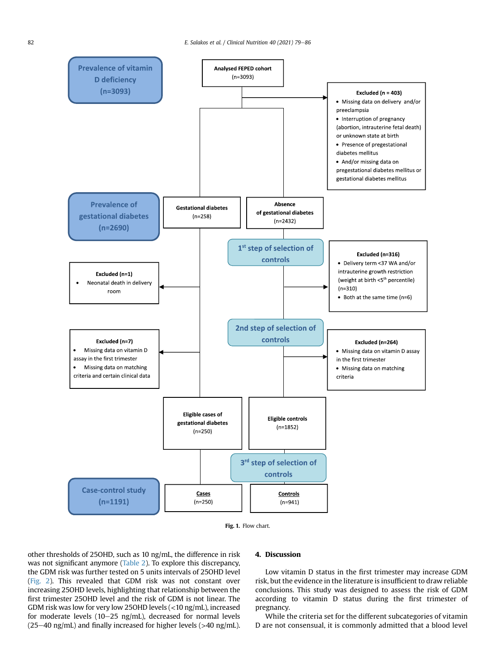<span id="page-3-0"></span>



other thresholds of 25OHD, such as 10 ng/mL, the difference in risk was not significant anymore [\(Table 2](#page-4-1)). To explore this discrepancy, the GDM risk was further tested on 5 units intervals of 25OHD level ([Fig. 2\)](#page-5-0). This revealed that GDM risk was not constant over increasing 25OHD levels, highlighting that relationship between the first trimester 25OHD level and the risk of GDM is not linear. The GDM risk was low for very low 25OHD levels (<10 ng/mL), increased for moderate levels (10-25 ng/mL), decreased for normal levels  $(25-40 \text{ ng/mL})$  and finally increased for higher levels (>40 ng/mL).

#### 4. Discussion

Low vitamin D status in the first trimester may increase GDM risk, but the evidence in the literature is insufficient to draw reliable conclusions. This study was designed to assess the risk of GDM according to vitamin D status during the first trimester of pregnancy.

While the criteria set for the different subcategories of vitamin D are not consensual, it is commonly admitted that a blood level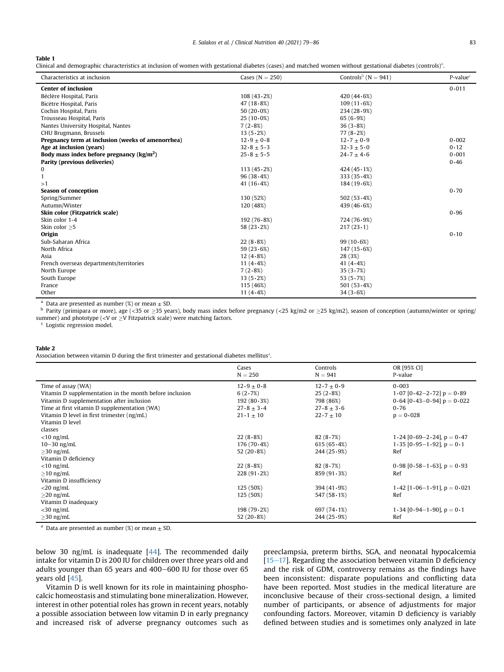## <span id="page-4-0"></span>Table 1

Clinical and demographic characteristics at inclusion of women with gestational diabetes (cases) and matched women without gestational diabetes (controls)<sup>a</sup>.

| Characteristics at inclusion                             | Cases ( $N = 250$ ) | Controls <sup>b</sup> (N = 941) | $P$ -value $c$ |
|----------------------------------------------------------|---------------------|---------------------------------|----------------|
| <b>Center of inclusion</b>                               |                     |                                 | 0.011          |
| Béclère Hospital, Paris                                  | 108(43.2%)          | 420 $(44.6%)$                   |                |
| Bicêtre Hospital, Paris                                  | 47 $(18.8%)$        | 109(11.6%)                      |                |
| Cochin Hospital, Paris                                   | 50 $(20.0\%)$       | 234(28.9%)                      |                |
| Trousseau Hospital, Paris                                | $25(10.0\%)$        | 65 $(6.9%)$                     |                |
| Nantes University Hospital, Nantes                       | 7(2.8%)             | 36(3.8%)                        |                |
| CHU Brugmann, Brussels                                   | 13(5.2%)            | 77(8.2%)                        |                |
| Pregnancy term at inclusion (weeks of amenorrhea)        | $12.9 \pm 0.8$      | $12.7 \pm 0.9$                  | 0.002          |
| Age at inclusion (years)                                 | $32.8 \pm 5.3$      | $32.3 \pm 5.0$                  | 0.12           |
| Body mass index before pregnancy $\frac{\text{kg}}{m^2}$ | $25.8 \pm 5.5$      | $24.7 \pm 4.6$                  | 0.001          |
| Parity (previous deliveries)                             |                     |                                 | 0.46           |
| 0                                                        | 113(45.2%)          | 424 $(45.1%)$                   |                |
| 1                                                        | 96(38.4%)           | 333 $(35.4%)$                   |                |
| >1                                                       | 41 $(16.4%)$        | 184(19.6%)                      |                |
| Season of conception                                     |                     |                                 | 0.70           |
| Spring/Summer                                            | 130 (52%)           | 502 $(53.4\%)$                  |                |
| Autumn/Winter                                            | 120 (48%)           | 439 $(46.6%)$                   |                |
| Skin color (Fitzpatrick scale)                           |                     |                                 | 0.96           |
| Skin color 1-4                                           | 192(76.8%)          | 724 (76 · 9%)                   |                |
| Skin color >5                                            | 58 $(23.2%)$        | $217(23 \cdot 1)$               |                |
| Origin                                                   |                     |                                 | 0.10           |
| Sub-Saharan Africa                                       | 22(8.8%)            | 99(10.6%)                       |                |
| North Africa                                             | 59 $(23.6%)$        | 147(15.6%)                      |                |
| Asia                                                     | $12(4.8\%)$         | 28 (3%)                         |                |
| French overseas departments/territories                  | 11 $(4.4%)$         | 41 $(4.4%$                      |                |
| North Europe                                             | 7(2.8%)             | 35(3.7%)                        |                |
| South Europe                                             | 13(5.2%)            | 53 $(5.7%)$                     |                |
| France                                                   | 115 (46%)           | 501 $(53.4\%)$                  |                |
| Other                                                    | 11 $(4.4%)$         | 34(3.6%)                        |                |

<span id="page-4-2"></span><sup>a</sup> Data are presented as number (%) or mean  $\pm$  SD.

<span id="page-4-3"></span>Parity (primipara or more), age (<35 or  $\geq$ 35 years), body mass index before pregnancy (<25 kg/m2 or  $\geq$ 25 kg/m2), season of conception (autumn/winter or spring/ summer) and phototype (<V or  $\geq$ V Fitzpatrick scale) were matching factors. C Logistic regression model.

<span id="page-4-4"></span>

#### <span id="page-4-1"></span>Table 2

Associ[a](#page-4-5)tion between vitamin D during the first trimester and gestational diabetes mellitus<sup>a</sup>.

|                                                         | Cases<br>$N = 250$ | Controls<br>$N = 941$ | OR [95% CI]<br>P-value           |
|---------------------------------------------------------|--------------------|-----------------------|----------------------------------|
|                                                         |                    |                       |                                  |
| Time of assay (WA)                                      | $12.9 \pm 0.8$     | $12.7 \pm 0.9$        | 0.003                            |
| Vitamin D supplementation in the month before inclusion | 6(2.7%)            | 25(2.8%)              | 1.07 $[0.42-2.72]$ p = 0.89      |
| Vitamin D supplementation after inclusion               | 192(80.3%)         | 798 (86%)             | $0.64$ [0.43-0.94] $p = 0.022$   |
| Time at first vitamin D supplementation (WA)            | $27.8 \pm 3.4$     | $27.8 \pm 3.6$        | 0.76                             |
| Vitamin D level in first trimester (ng/mL)              | $21 \cdot 1 + 10$  | $22 \cdot 7 + 10$     | $p = 0.028$                      |
| Vitamin D level                                         |                    |                       |                                  |
| classes                                                 |                    |                       |                                  |
| $<$ 10 ng/mL                                            | 22(8.8%)           | 82(8.7%)              | 1.24 $[0.69-2.24]$ , $p = 0.47$  |
| $10-30$ ng/mL                                           | 176(70.4%)         | 615(65.4%)            | 1.35 $[0.95-1.92]$ , $p = 0.1$   |
| $>$ 30 ng/mL                                            | 52 $(20.8\%)$      | 244(25.9%)            | Ref                              |
| Vitamin D deficiency                                    |                    |                       |                                  |
| $<$ 10 ng/mL                                            | 22(8.8%)           | 82(8.7%)              | $0.98$ [0.58-1.63], $p = 0.93$   |
| $\geq$ 10 ng/mL                                         | 228(91.2%)         | 859(91.3%)            | Ref                              |
| Vitamin D insufficiency                                 |                    |                       |                                  |
| $<$ 20 ng/mL                                            | 125 (50%)          | 394(41.9%)            | 1.42 $[1.06-1.91]$ , $p = 0.021$ |
| $\geq$ 20 ng/mL                                         | 125 (50%)          | 547(58.1%)            | Ref                              |
| Vitamin D inadequacy                                    |                    |                       |                                  |
| $<$ 30 ng/mL                                            | 198(79.2%)         | 697 $(74.1%)$         | 1.34 $[0.94-1.90]$ , $p = 0.1$   |
| $\geq$ 30 ng/mL                                         | 52 $(20.8%)$       | 244(25.9%)            | Ref                              |

<span id="page-4-5"></span><sup>a</sup> Data are presented as number (%) or mean  $\pm$  SD.

below 30 ng/mL is inadequate  $[44]$  $[44]$ . The recommended daily intake for vitamin D is 200 IU for children over three years old and adults younger than  $65$  years and  $400-600$  IU for those over  $65$ years old [[45\]](#page-7-26).

Vitamin D is well known for its role in maintaining phosphocalcic homeostasis and stimulating bone mineralization. However, interest in other potential roles has grown in recent years, notably a possible association between low vitamin D in early pregnancy and increased risk of adverse pregnancy outcomes such as preeclampsia, preterm births, SGA, and neonatal hypocalcemia  $[15-17]$  $[15-17]$  $[15-17]$  $[15-17]$  $[15-17]$ . Regarding the association between vitamin D deficiency and the risk of GDM, controversy remains as the findings have been inconsistent: disparate populations and conflicting data have been reported. Most studies in the medical literature are inconclusive because of their cross-sectional design, a limited number of participants, or absence of adjustments for major confounding factors. Moreover, vitamin D deficiency is variably defined between studies and is sometimes only analyzed in late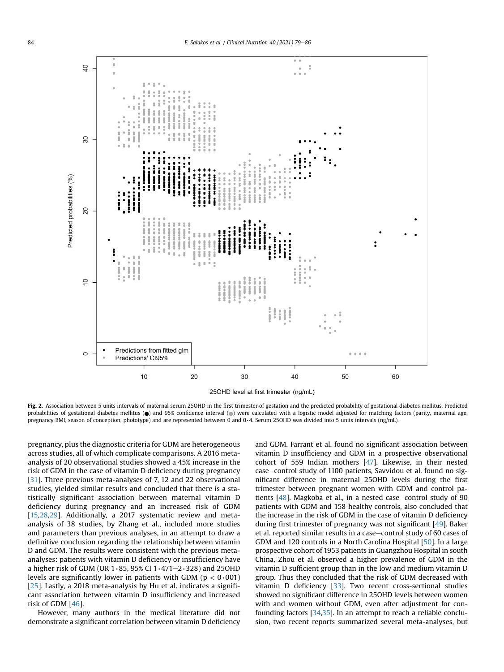<span id="page-5-0"></span>

Fig. 2. Association between 5 units intervals of maternal serum 250HD in the first trimester of gestation and the predicted probability of gestational diabetes mellitus. Predicted probabilities of gestational diabetes mellitus ( $\bullet$ ) and 95% confidence interval ( $\bullet$ ) were calculated with a logistic model adjusted for matching factors (parity, maternal age, pregnancy BMI, season of conception, phototype) and are represented between 0 and 0∙4. Serum 25OHD was divided into 5 units intervals (ng/mL).

pregnancy, plus the diagnostic criteria for GDM are heterogeneous across studies, all of which complicate comparisons. A 2016 metaanalysis of 20 observational studies showed a 45% increase in the risk of GDM in the case of vitamin D deficiency during pregnancy [[31](#page-7-27)]. Three previous meta-analyses of 7, 12 and 22 observational studies, yielded similar results and concluded that there is a statistically significant association between maternal vitamin D deficiency during pregnancy and an increased risk of GDM [[15,](#page-7-10)[28,](#page-7-28)[29](#page-7-29)]. Additionally, a 2017 systematic review and metaanalysis of 38 studies, by Zhang et al., included more studies and parameters than previous analyses, in an attempt to draw a definitive conclusion regarding the relationship between vitamin D and GDM. The results were consistent with the previous metaanalyses: patients with vitamin D deficiency or insufficiency have a higher risk of GDM (OR 1⋅85, 95% CI 1⋅471-2⋅328) and 25OHD levels are significantly lower in patients with GDM (p < 0∙001) [[25\]](#page-7-17). Lastly, a 2018 meta-analysis by Hu et al. indicates a significant association between vitamin D insufficiency and increased risk of GDM [[46](#page-7-30)].

However, many authors in the medical literature did not demonstrate a significant correlation between vitamin D deficiency

and GDM. Farrant et al. found no significant association between vitamin D insufficiency and GDM in a prospective observational cohort of 559 Indian mothers [[47\]](#page-7-31). Likewise, in their nested case-control study of 1100 patients, Savvidou et al. found no significant difference in maternal 25OHD levels during the first trimester between pregnant women with GDM and control patients  $[48]$  $[48]$ . Magkoba et al., in a nested case-control study of 90 patients with GDM and 158 healthy controls, also concluded that the increase in the risk of GDM in the case of vitamin D deficiency during first trimester of pregnancy was not significant [\[49](#page-7-33)]. Baker et al. reported similar results in a case-control study of 60 cases of GDM and 120 controls in a North Carolina Hospital [[50](#page-7-34)]. In a large prospective cohort of 1953 patients in Guangzhou Hospital in south China, Zhou et al. observed a higher prevalence of GDM in the vitamin D sufficient group than in the low and medium vitamin D group. Thus they concluded that the risk of GDM decreased with vitamin D deficiency [\[33\]](#page-7-15). Two recent cross-sectional studies showed no significant difference in 25OHD levels between women with and women without GDM, even after adjustment for confounding factors [[34](#page-7-35)[,35\]](#page-7-36). In an attempt to reach a reliable conclusion, two recent reports summarized several meta-analyses, but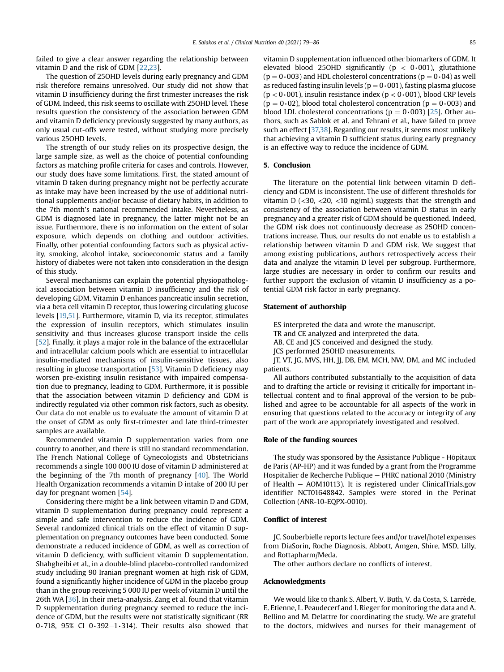failed to give a clear answer regarding the relationship between vitamin D and the risk of GDM [[22](#page-7-12)[,23\]](#page-7-13).

The question of 25OHD levels during early pregnancy and GDM risk therefore remains unresolved. Our study did not show that vitamin D insufficiency during the first trimester increases the risk of GDM. Indeed, this risk seems to oscillate with 25OHD level. These results question the consistency of the association between GDM and vitamin D deficiency previously suggested by many authors, as only usual cut-offs were tested, without studying more precisely various 25OHD levels.

The strength of our study relies on its prospective design, the large sample size, as well as the choice of potential confounding factors as matching profile criteria for cases and controls. However, our study does have some limitations. First, the stated amount of vitamin D taken during pregnancy might not be perfectly accurate as intake may have been increased by the use of additional nutritional supplements and/or because of dietary habits, in addition to the 7th month's national recommended intake. Nevertheless, as GDM is diagnosed late in pregnancy, the latter might not be an issue. Furthermore, there is no information on the extent of solar exposure, which depends on clothing and outdoor activities. Finally, other potential confounding factors such as physical activity, smoking, alcohol intake, socioeconomic status and a family history of diabetes were not taken into consideration in the design of this study.

Several mechanisms can explain the potential physiopathological association between vitamin D insufficiency and the risk of developing GDM. Vitamin D enhances pancreatic insulin secretion, via a beta cell vitamin D receptor, thus lowering circulating glucose levels [[19,](#page-7-37)[51\]](#page-7-38). Furthermore, vitamin D, via its receptor, stimulates the expression of insulin receptors, which stimulates insulin sensitivity and thus increases glucose transport inside the cells [\[52\]](#page-7-39). Finally, it plays a major role in the balance of the extracellular and intracellular calcium pools which are essential to intracellular insulin-mediated mechanisms of insulin-sensitive tissues, also resulting in glucose transportation [[53](#page-7-40)]. Vitamin D deficiency may worsen pre-existing insulin resistance with impaired compensation due to pregnancy, leading to GDM. Furthermore, it is possible that the association between vitamin D deficiency and GDM is indirectly regulated via other common risk factors, such as obesity. Our data do not enable us to evaluate the amount of vitamin D at the onset of GDM as only first-trimester and late third-trimester samples are available.

Recommended vitamin D supplementation varies from one country to another, and there is still no standard recommendation. The French National College of Gynecologists and Obstetricians recommends a single 100 000 IU dose of vitamin D administered at the beginning of the 7th month of pregnancy [[40\]](#page-7-21). The World Health Organization recommends a vitamin D intake of 200 IU per day for pregnant women [\[54\]](#page-7-41).

Considering there might be a link between vitamin D and GDM, vitamin D supplementation during pregnancy could represent a simple and safe intervention to reduce the incidence of GDM. Several randomized clinical trials on the effect of vitamin D supplementation on pregnancy outcomes have been conducted. Some demonstrate a reduced incidence of GDM, as well as correction of vitamin D deficiency, with sufficient vitamin D supplementation. Shahgheibi et al., in a double-blind placebo-controlled randomized study including 90 Iranian pregnant women at high risk of GDM, found a significantly higher incidence of GDM in the placebo group than in the group receiving 5 000 IU per week of vitamin D until the 26th WA [[36](#page-7-16)]. In their meta-analysis, Zang et al. found that vitamin D supplementation during pregnancy seemed to reduce the incidence of GDM, but the results were not statistically significant (RR 0⋅718, 95% CI 0⋅392−1⋅314). Their results also showed that

vitamin D supplementation influenced other biomarkers of GDM. It elevated blood 25OHD significantly (p < 0∙001), glutathione ( $p = 0$ •003) and HDL cholesterol concentrations ( $p = 0$ •04) as well as reduced fasting insulin levels (p = 0∙001), fasting plasma glucose (p < 0∙001), insulin resistance index (p < 0∙001), blood CRP levels ( $p = 0.02$ ), blood total cholesterol concentration ( $p = 0.003$ ) and blood LDL cholesterol concentrations ( $p = 0.003$ ) [\[25\]](#page-7-17). Other authors, such as Sablok et al. and Tehrani et al., have failed to prove such an effect [[37,](#page-7-18)[38\]](#page-7-19). Regarding our results, it seems most unlikely that achieving a vitamin D sufficient status during early pregnancy is an effective way to reduce the incidence of GDM.

### 5. Conclusion

The literature on the potential link between vitamin D deficiency and GDM is inconsistent. The use of different thresholds for vitamin D ( $<$ 30,  $<$ 20,  $<$ 10 ng/mL) suggests that the strength and consistency of the association between vitamin D status in early pregnancy and a greater risk of GDM should be questioned. Indeed, the GDM risk does not continuously decrease as 25OHD concentrations increase. Thus, our results do not enable us to establish a relationship between vitamin D and GDM risk. We suggest that among existing publications, authors retrospectively access their data and analyze the vitamin D level per subgroup. Furthermore, large studies are necessary in order to confirm our results and further support the exclusion of vitamin D insufficiency as a potential GDM risk factor in early pregnancy.

#### Statement of authorship

ES interpreted the data and wrote the manuscript.

TR and CE analyzed and interpreted the data.

AB, CE and JCS conceived and designed the study.

JCS performed 25OHD measurements.

JT, VT, JG, MVS, HH, JJ, DB, EM, MCH, NW, DM, and MC included patients.

All authors contributed substantially to the acquisition of data and to drafting the article or revising it critically for important intellectual content and to final approval of the version to be published and agree to be accountable for all aspects of the work in ensuring that questions related to the accuracy or integrity of any part of the work are appropriately investigated and resolved.

#### Role of the funding sources

The study was sponsored by the Assistance Publique - Hôpitaux de Paris (AP-HP) and it was funded by a grant from the Programme Hospitalier de Recherche Publique - PHRC national 2010 (Ministry of Health  $-$  AOM10113). It is registered under ClinicalTrials.gov identifier NCT01648842. Samples were stored in the Perinat Collection (ANR-10-EQPX-0010).

## Conflict of interest

JC. Souberbielle reports lecture fees and/or travel/hotel expenses from DiaSorin, Roche Diagnosis, Abbott, Amgen, Shire, MSD, Lilly, and Rottapharm/Meda.

The other authors declare no conflicts of interest.

#### Acknowledgments

We would like to thank S. Albert, V. Buth, V. da Costa, S. Larrede, E. Etienne, L. Peaudecerf and I. Rieger for monitoring the data and A. Bellino and M. Delattre for coordinating the study. We are grateful to the doctors, midwives and nurses for their management of